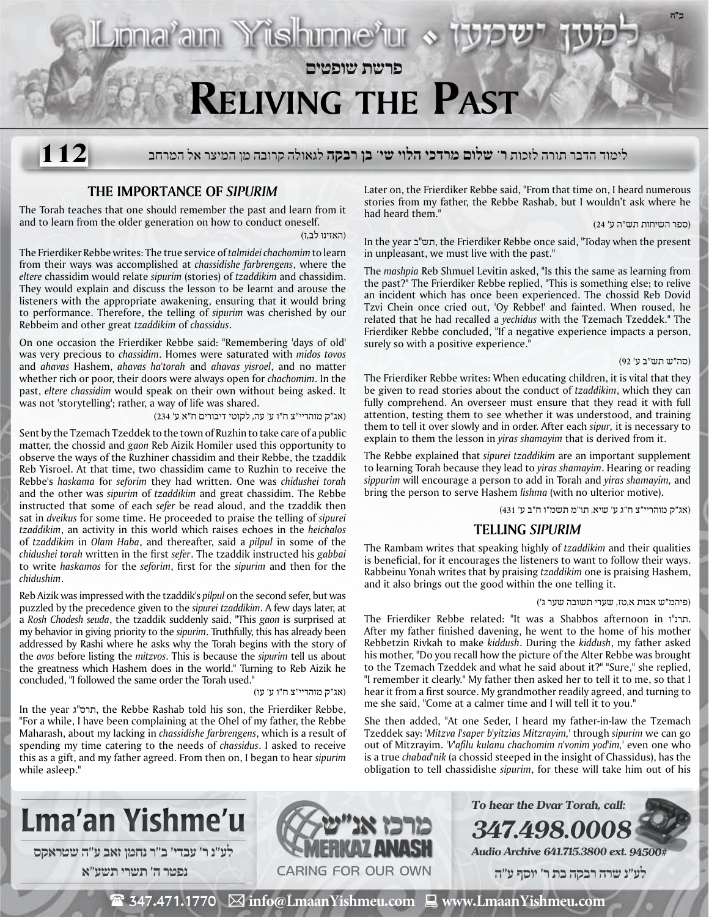# **Reliving the Past**

**פרשת שופטים**

לימוד הדבר תורה לזכות **ר' שלום מרדכי הלוי שי' בן רבקה** לגאולה קרובה מן המיצר אל המרחב **112**

# **The Importance of** *Sipurim*

The Torah teaches that one should remember the past and learn from it and to learn from the older generation on how to conduct oneself.

(האזינו לב,ז)

The Frierdiker Rebbe writes: The true service of *talmidei chachomim* to learn from their ways was accomplished at *chassidishe farbrengens*, where the *eltere* chassidim would relate *sipurim* (stories) of *tzaddikim* and chassidim. They would explain and discuss the lesson to be learnt and arouse the listeners with the appropriate awakening, ensuring that it would bring to performance. Therefore, the telling of *sipurim* was cherished by our Rebbeim and other great *tzaddikim* of *chassidus*.

On one occasion the Frierdiker Rebbe said: "Remembering 'days of old' was very precious to *chassidim*. Homes were saturated with *midos tovos* and *ahavas* Hashem, *ahavas ha'torah* and *ahavas yisroel*, and no matter whether rich or poor, their doors were always open for *chachomim*. In the past, *eltere chassidim* would speak on their own without being asked. It was not 'storytelling'; rather, a way of life was shared.

(אג"ק מוהריי"צ ח"ו ע' עה, לקוטי דיבורים ח"א ע' 234)

<u> Jona'am Yishinne'ur</u>

Sent by the Tzemach Tzeddek to the town of Ruzhin to take care of a public matter, the chossid and *gaon* Reb Aizik Homiler used this opportunity to observe the ways of the Ruzhiner chassidim and their Rebbe, the tzaddik Reb Yisroel. At that time, two chassidim came to Ruzhin to receive the Rebbe's *haskama* for *seforim* they had written. One was *chidushei torah* and the other was *sipurim* of *tzaddikim* and great chassidim. The Rebbe instructed that some of each *sefer* be read aloud, and the tzaddik then sat in *dveikus* for some time. He proceeded to praise the telling of *sipurei tzaddikim*, an activity in this world which raises echoes in the *heichalos* of *tzaddikim* in *Olam Haba*, and thereafter, said a *pilpul* in some of the *chidushei torah* written in the first *sefer*. The tzaddik instructed his *gabbai* to write *haskamos* for the *seforim*, first for the *sipurim* and then for the *chidushim*.

Reb Aizik was impressed with the tzaddik's *pilpul* on the second sefer, but was puzzled by the precedence given to the *sipurei tzaddikim*. A few days later, at a *Rosh Chodesh seuda*, the tzaddik suddenly said, "This *gaon* is surprised at my behavior in giving priority to the *sipurim*. Truthfully, this has already been addressed by Rashi where he asks why the Torah begins with the story of the *avos* before listing the *mitzvos*. This is because the *sipurim* tell us about the greatness which Hashem does in the world." Turning to Reb Aizik he concluded, "I followed the same order the Torah used."

(אג"ק מוהריי"צ ח"ו ע' עו)

In the year ג"תרס, the Rebbe Rashab told his son, the Frierdiker Rebbe, "For a while, I have been complaining at the Ohel of my father, the Rebbe Maharash, about my lacking in *chassidishe farbrengens*, which is a result of spending my time catering to the needs of *chassidus*. I asked to receive this as a gift, and my father agreed. From then on, I began to hear *sipurim* while asleep."

Later on, the Frierdiker Rebbe said, "From that time on, I heard numerous stories from my father, the Rebbe Rashab, but I wouldn't ask where he had heard them."

(ספר השיחות תש"ה ע' 24)

**ב"ה**

In the year ב"תש, the Frierdiker Rebbe once said, "Today when the present in unpleasant, we must live with the past."

The *mashpia* Reb Shmuel Levitin asked, "Is this the same as learning from the past?" The Frierdiker Rebbe replied, "This is something else; to relive an incident which has once been experienced. The chossid Reb Dovid Tzvi Chein once cried out, 'Oy Rebbe!' and fainted. When roused, he related that he had recalled a *yechidus* with the Tzemach Tzeddek." The Frierdiker Rebbe concluded, "If a negative experience impacts a person, surely so with a positive experience."

### (סה"ש תש"ב ע' 92)

The Frierdiker Rebbe writes: When educating children, it is vital that they be given to read stories about the conduct of *tzaddikim*, which they can fully comprehend. An overseer must ensure that they read it with full attention, testing them to see whether it was understood, and training them to tell it over slowly and in order. After each *sipur,* it is necessary to explain to them the lesson in *yiras shamayim* that is derived from it.

The Rebbe explained that *sipurei tzaddikim* are an important supplement to learning Torah because they lead to *yiras shamayim*. Hearing or reading *sippurim* will encourage a person to add in Torah and *yiras shamayim,* and bring the person to serve Hashem *lishma* (with no ulterior motive)**.** 

(אג"ק מוהריי"צ ח"ג ע' שיא, תו"מ תשמ"ו ח"ב ע' 431)

## **Telling** *Sipurim*

The Rambam writes that speaking highly of *tzaddikim* and their qualities is beneficial, for it encourages the listeners to want to follow their ways. Rabbeinu Yonah writes that by praising *tzaddikim* one is praising Hashem, and it also brings out the good within the one telling it.

#### (פיהמ"ש אבות א,טז, שערי תשובה שער ג')

The Frierdiker Rebbe related: "It was a Shabbos afternoon in .. After my father finished davening, he went to the home of his mother Rebbetzin Rivkah to make *kiddush*. During the *kiddush*, my father asked his mother, "Do you recall how the picture of the Alter Rebbe was brought to the Tzemach Tzeddek and what he said about it?" "Sure," she replied, "I remember it clearly." My father then asked her to tell it to me, so that I hear it from a first source. My grandmother readily agreed, and turning to me she said, "Come at a calmer time and I will tell it to you."

She then added, "At one Seder, I heard my father-in-law the Tzemach Tzeddek say: '*Mitzva l'saper b'yitzias Mitzrayim,'* through *sipurim* we can go out of Mitzrayim. *'V'afilu kulanu chachomim n'vonim yod'im,'* even one who is a true *chabad'nik* (a chossid steeped in the insight of Chassidus), has the obligation to tell chassidishe *sipurim*, for these will take him out of his

**347.498.00** 

**To hear the Dvar Torah, call:**







**Audio Archive 641.715.3800 ext. 94500#**

 **לע"נ שרה רבקה בת ר׳ יוסף ע"ה**